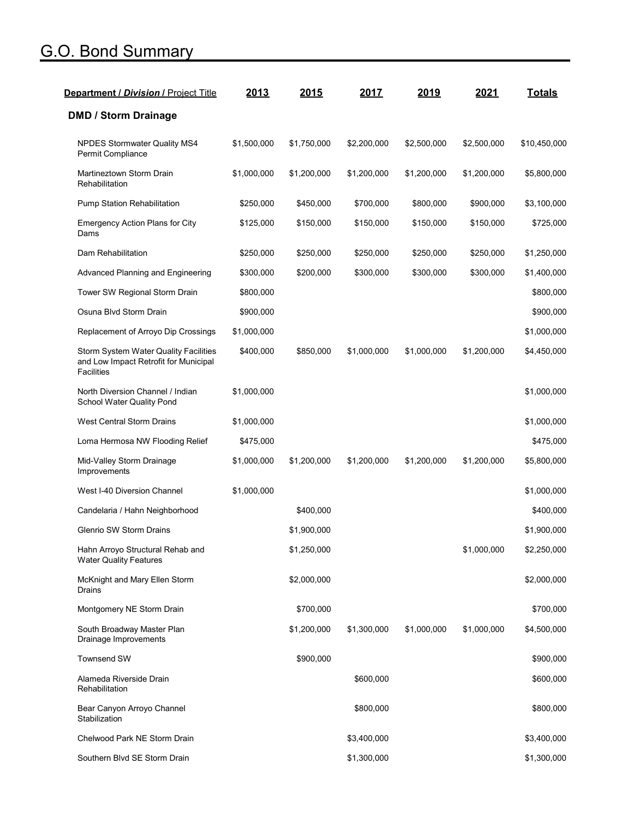## G.O. Bond Summary

| <b>Department / Division / Project Title</b>                                                        | 2013        | 2015        | 2017        | 2019        | 2021        | <b>Totals</b> |
|-----------------------------------------------------------------------------------------------------|-------------|-------------|-------------|-------------|-------------|---------------|
| <b>DMD / Storm Drainage</b>                                                                         |             |             |             |             |             |               |
| NPDES Stormwater Quality MS4<br>Permit Compliance                                                   | \$1,500,000 | \$1,750,000 | \$2,200,000 | \$2,500,000 | \$2,500,000 | \$10,450,000  |
| Martineztown Storm Drain<br>Rehabilitation                                                          | \$1,000,000 | \$1,200,000 | \$1,200,000 | \$1,200,000 | \$1,200,000 | \$5,800,000   |
| Pump Station Rehabilitation                                                                         | \$250,000   | \$450,000   | \$700,000   | \$800,000   | \$900,000   | \$3,100,000   |
| Emergency Action Plans for City<br>Dams                                                             | \$125,000   | \$150,000   | \$150,000   | \$150,000   | \$150,000   | \$725,000     |
| Dam Rehabilitation                                                                                  | \$250,000   | \$250,000   | \$250,000   | \$250,000   | \$250,000   | \$1,250,000   |
| Advanced Planning and Engineering                                                                   | \$300,000   | \$200,000   | \$300,000   | \$300,000   | \$300,000   | \$1,400,000   |
| Tower SW Regional Storm Drain                                                                       | \$800,000   |             |             |             |             | \$800,000     |
| Osuna Blvd Storm Drain                                                                              | \$900,000   |             |             |             |             | \$900,000     |
| Replacement of Arroyo Dip Crossings                                                                 | \$1,000,000 |             |             |             |             | \$1,000,000   |
| Storm System Water Quality Facilities<br>and Low Impact Retrofit for Municipal<br><b>Facilities</b> | \$400,000   | \$850,000   | \$1,000,000 | \$1,000,000 | \$1,200,000 | \$4,450,000   |
| North Diversion Channel / Indian<br>School Water Quality Pond                                       | \$1,000,000 |             |             |             |             | \$1,000,000   |
| <b>West Central Storm Drains</b>                                                                    | \$1,000,000 |             |             |             |             | \$1,000,000   |
| Loma Hermosa NW Flooding Relief                                                                     | \$475,000   |             |             |             |             | \$475,000     |
| Mid-Valley Storm Drainage<br>Improvements                                                           | \$1,000,000 | \$1,200,000 | \$1,200,000 | \$1,200,000 | \$1,200,000 | \$5,800,000   |
| West I-40 Diversion Channel                                                                         | \$1,000,000 |             |             |             |             | \$1,000,000   |
| Candelaria / Hahn Neighborhood                                                                      |             | \$400,000   |             |             |             | \$400,000     |
| Glenrio SW Storm Drains                                                                             |             | \$1,900,000 |             |             |             | \$1,900,000   |
| Hahn Arroyo Structural Rehab and<br><b>Water Quality Features</b>                                   |             | \$1,250,000 |             |             | \$1,000,000 | \$2,250,000   |
| McKnight and Mary Ellen Storm<br>Drains                                                             |             | \$2,000,000 |             |             |             | \$2,000,000   |
| Montgomery NE Storm Drain                                                                           |             | \$700,000   |             |             |             | \$700,000     |
| South Broadway Master Plan<br>Drainage Improvements                                                 |             | \$1,200,000 | \$1,300,000 | \$1,000,000 | \$1,000,000 | \$4,500,000   |
| <b>Townsend SW</b>                                                                                  |             | \$900,000   |             |             |             | \$900,000     |
| Alameda Riverside Drain<br>Rehabilitation                                                           |             |             | \$600,000   |             |             | \$600,000     |
| Bear Canyon Arroyo Channel<br>Stabilization                                                         |             |             | \$800,000   |             |             | \$800,000     |
| Chelwood Park NE Storm Drain                                                                        |             |             | \$3,400,000 |             |             | \$3,400,000   |
| Southern Blvd SE Storm Drain                                                                        |             |             | \$1,300,000 |             |             | \$1,300,000   |